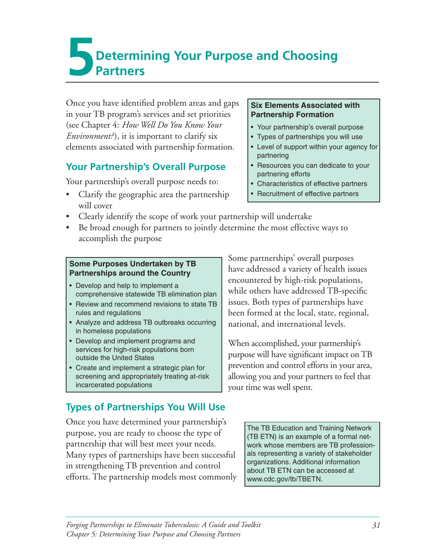# **Determining Your Purpose and Choosing Partners**

Once you have identified problem areas and gaps **Six Elements Associated with** in your TB program's services and set priorities **Partnership Formation** (see Chapter 4: *How Well Do You Know Your* • Your partnership's overall purpose *Environment?*), it is important to clarify six  $\cdot$  **•** Types of partnerships you will use elements associated with partnership formation.  $\|\cdot\|$  Level of support within your agency for

### **Your Partnership's Overall Purpose | • Resources you can dedicate to your**

Your partnership's overall purpose needs to: • Characteristics of effective partners

• Clarify the geographic area the partnership • Recruitment of effective partners will cover

- 
- 
- partnering
- partnering efforts
- 
- 
- Clearly identify the scope of work your partnership will undertake
- Be broad enough for partners to jointly determine the most effective ways to accomplish the purpose

- 
- rules and regulations been formed at the local, state, regional,
- Analyze and address TB outbreaks occurring  $\parallel$  national, and international levels. in homeless populations
- 
- 

# **Types of Partnerships You Will Use**

Once you have determined your partnership's<br>
purpose, you are ready to choose the type of The TB Education and Training Network<br>
(TB ETN) is an example of a formal netpartnership that will best meet your needs.  $\vert$  work whose members are TB profession-Many types of partnerships have been successful als representing a variety of stakeholder in strengthening TB prevention and control about TB ETN can be accessed at efforts. The partnership models most commonly www.cdc.gov/tb/TBETN.

Some Purposes Undertaken by TB<br>
Partnerships around the Country<br>
• Develop and help to implement a<br>
comprehensive statewide TB elimination plan<br>
and the Countered by high-risk populations,<br>
while others have addressed TB-s • Review and recommend revisions to state TB  $\parallel$  issues. Both types of partnerships have

• Develop and implement programs and<br>
services for high-risk populations born<br>
purpose will have significant impact on TB<br>
purpose will have significant impact on TB • Create and implement a strategic plan for Figure 2 revention and control efforts in your area, screening and appropriately treating at-risk allowing you and your partners to feel that incarcerated populations your time was well spent.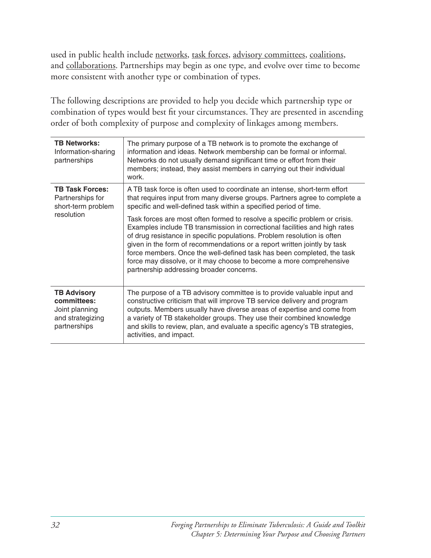used in public health include networks, task forces, advisory committees, coalitions, and collaborations. Partnerships may begin as one type, and evolve over time to become more consistent with another type or combination of types.

The following descriptions are provided to help you decide which partnership type or combination of types would best fit your circumstances. They are presented in ascending order of both complexity of purpose and complexity of linkages among members.

| <b>TB Networks:</b><br>Information-sharing<br>partnerships                              | The primary purpose of a TB network is to promote the exchange of<br>information and ideas. Network membership can be formal or informal.<br>Networks do not usually demand significant time or effort from their<br>members; instead, they assist members in carrying out their individual<br>work.                                                                                                                                                                                                         |
|-----------------------------------------------------------------------------------------|--------------------------------------------------------------------------------------------------------------------------------------------------------------------------------------------------------------------------------------------------------------------------------------------------------------------------------------------------------------------------------------------------------------------------------------------------------------------------------------------------------------|
| <b>TB Task Forces:</b><br>Partnerships for<br>short-term problem<br>resolution          | A TB task force is often used to coordinate an intense, short-term effort<br>that requires input from many diverse groups. Partners agree to complete a<br>specific and well-defined task within a specified period of time.                                                                                                                                                                                                                                                                                 |
|                                                                                         | Task forces are most often formed to resolve a specific problem or crisis.<br>Examples include TB transmission in correctional facilities and high rates<br>of drug resistance in specific populations. Problem resolution is often<br>given in the form of recommendations or a report written jointly by task<br>force members. Once the well-defined task has been completed, the task<br>force may dissolve, or it may choose to become a more comprehensive<br>partnership addressing broader concerns. |
| <b>TB Advisory</b><br>committees:<br>Joint planning<br>and strategizing<br>partnerships | The purpose of a TB advisory committee is to provide valuable input and<br>constructive criticism that will improve TB service delivery and program<br>outputs. Members usually have diverse areas of expertise and come from<br>a variety of TB stakeholder groups. They use their combined knowledge<br>and skills to review, plan, and evaluate a specific agency's TB strategies,<br>activities, and impact.                                                                                             |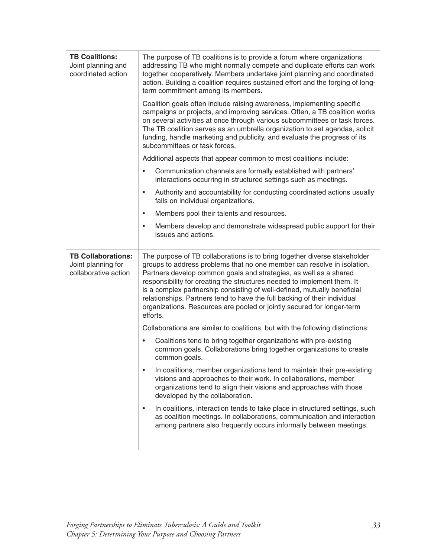| <b>TB Coalitions:</b><br>Joint planning and<br>coordinated action       | The purpose of TB coalitions is to provide a forum where organizations<br>addressing TB who might normally compete and duplicate efforts can work<br>together cooperatively. Members undertake joint planning and coordinated<br>action. Building a coalition requires sustained effort and the forging of long-<br>term commitment among its members.                                                                                                                                                                                              |
|-------------------------------------------------------------------------|-----------------------------------------------------------------------------------------------------------------------------------------------------------------------------------------------------------------------------------------------------------------------------------------------------------------------------------------------------------------------------------------------------------------------------------------------------------------------------------------------------------------------------------------------------|
|                                                                         | Coalition goals often include raising awareness, implementing specific<br>campaigns or projects, and improving services. Often, a TB coalition works<br>on several activities at once through various subcommittees or task forces.<br>The TB coalition serves as an umbrella organization to set agendas, solicit<br>funding, handle marketing and publicity, and evaluate the progress of its<br>subcommittees or task forces.                                                                                                                    |
|                                                                         | Additional aspects that appear common to most coalitions include:                                                                                                                                                                                                                                                                                                                                                                                                                                                                                   |
|                                                                         | Communication channels are formally established with partners'<br>٠<br>interactions occurring in structured settings such as meetings.                                                                                                                                                                                                                                                                                                                                                                                                              |
|                                                                         | Authority and accountability for conducting coordinated actions usually<br>$\bullet$<br>falls on individual organizations.                                                                                                                                                                                                                                                                                                                                                                                                                          |
|                                                                         | Members pool their talents and resources.<br>$\bullet$                                                                                                                                                                                                                                                                                                                                                                                                                                                                                              |
|                                                                         | Members develop and demonstrate widespread public support for their<br>$\bullet$<br>issues and actions.                                                                                                                                                                                                                                                                                                                                                                                                                                             |
| <b>TB Collaborations:</b><br>Joint planning for<br>collaborative action | The purpose of TB collaborations is to bring together diverse stakeholder<br>groups to address problems that no one member can resolve in isolation.<br>Partners develop common goals and strategies, as well as a shared<br>responsibility for creating the structures needed to implement them. It<br>is a complex partnership consisting of well-defined, mutually beneficial<br>relationships. Partners tend to have the full backing of their individual<br>organizations. Resources are pooled or jointly secured for longer-term<br>efforts. |
|                                                                         | Collaborations are similar to coalitions, but with the following distinctions:                                                                                                                                                                                                                                                                                                                                                                                                                                                                      |
|                                                                         | Coalitions tend to bring together organizations with pre-existing<br>٠<br>common goals. Collaborations bring together organizations to create<br>common goals.                                                                                                                                                                                                                                                                                                                                                                                      |
|                                                                         | In coalitions, member organizations tend to maintain their pre-existing<br>visions and approaches to their work. In collaborations, member<br>organizations tend to align their visions and approaches with those<br>developed by the collaboration.                                                                                                                                                                                                                                                                                                |
|                                                                         | In coalitions, interaction tends to take place in structured settings, such<br>٠<br>as coalition meetings. In collaborations, communication and interaction<br>among partners also frequently occurs informally between meetings.                                                                                                                                                                                                                                                                                                                   |
|                                                                         |                                                                                                                                                                                                                                                                                                                                                                                                                                                                                                                                                     |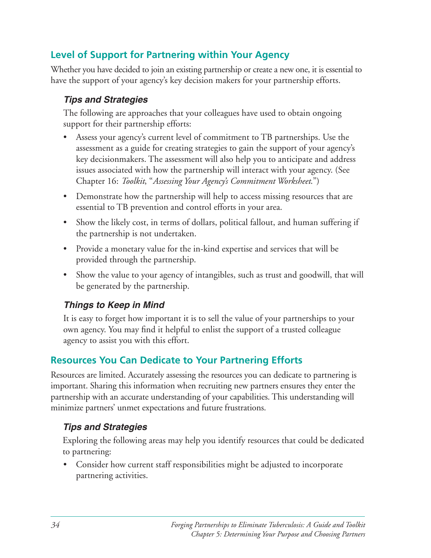# **Level of Support for Partnering within Your Agency**

Whether you have decided to join an existing partnership or create a new one, it is essential to have the support of your agency's key decision makers for your partnership efforts.

### *Tips and Strategies*

The following are approaches that your colleagues have used to obtain ongoing support for their partnership efforts:

- Assess your agency's current level of commitment to TB partnerships. Use the assessment as a guide for creating strategies to gain the support of your agency's key decisionmakers. The assessment will also help you to anticipate and address issues associated with how the partnership will interact with your agency. (See Chapter 16: *Toolkit*, "*Assessing Your Agency's Commitment Worksheet*.")
- Demonstrate how the partnership will help to access missing resources that are essential to TB prevention and control efforts in your area.
- Show the likely cost, in terms of dollars, political fallout, and human suffering if the partnership is not undertaken.
- Provide a monetary value for the in-kind expertise and services that will be provided through the partnership.
- Show the value to your agency of intangibles, such as trust and goodwill, that will be generated by the partnership.

### *Things to Keep in Mind*

It is easy to forget how important it is to sell the value of your partnerships to your own agency. You may find it helpful to enlist the support of a trusted colleague agency to assist you with this effort.

# **Resources You Can Dedicate to Your Partnering Efforts**

Resources are limited. Accurately assessing the resources you can dedicate to partnering is important. Sharing this information when recruiting new partners ensures they enter the partnership with an accurate understanding of your capabilities. This understanding will minimize partners' unmet expectations and future frustrations.

# *Tips and Strategies*

Exploring the following areas may help you identify resources that could be dedicated to partnering:

• Consider how current staff responsibilities might be adjusted to incorporate partnering activities.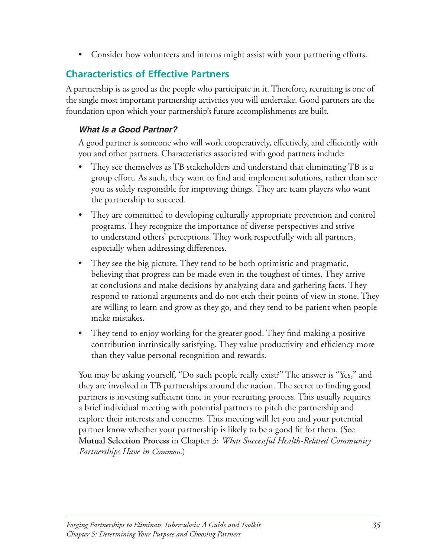• Consider how volunteers and interns might assist with your partnering efforts.

# **Characteristics of Effective Partners**

A partnership is as good as the people who participate in it. Therefore, recruiting is one of the single most important partnership activities you will undertake. Good partners are the foundation upon which your partnership's future accomplishments are built.

#### *What Is a Good Partner?*

A good partner is someone who will work cooperatively, effectively, and efficiently with you and other partners. Characteristics associated with good partners include:

- They see themselves as TB stakeholders and understand that eliminating TB is a group effort. As such, they want to find and implement solutions, rather than see you as solely responsible for improving things. They are team players who want the partnership to succeed.
- They are committed to developing culturally appropriate prevention and control programs. They recognize the importance of diverse perspectives and strive to understand others' perceptions. They work respectfully with all partners, especially when addressing differences.
- They see the big picture. They tend to be both optimistic and pragmatic, believing that progress can be made even in the toughest of times. They arrive at conclusions and make decisions by analyzing data and gathering facts. They respond to rational arguments and do not etch their points of view in stone. They are willing to learn and grow as they go, and they tend to be patient when people make mistakes.
- They tend to enjoy working for the greater good. They find making a positive contribution intrinsically satisfying. They value productivity and efficiency more than they value personal recognition and rewards.

You may be asking yourself, "Do such people really exist?" The answer is "Yes," and they are involved in TB partnerships around the nation. The secret to finding good partners is investing sufficient time in your recruiting process. This usually requires a brief individual meeting with potential partners to pitch the partnership and explore their interests and concerns. This meeting will let you and your potential partner know whether your partnership is likely to be a good fit for them. (See **Mutual Selection Process** in Chapter 3: *What Successful Health-Related Community Partnerships Have in Common*.)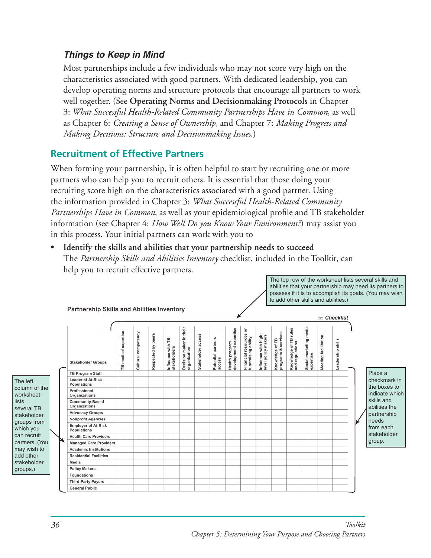#### *Things to Keep in Mind*

Most partnerships include a few individuals who may not score very high on the characteristics associated with good partners. With dedicated leadership, you can develop operating norms and structure protocols that encourage all partners to work well together. (See Operating Norms and Decisionmaking Protocols in Chapter 3: What Successful Health-Related Community Partnerships Have in Common, as well as Chapter 6: *Creating a Sense of Ownership*, and Chapter 7: *Making Progress and Making Decisions: Structure and Decisionmaking Issues*.)

### **Recruitment of Effective Partners**

When forming your partnership, it is often helpful to start by recruiting one or more partners who can help you to recruit others. It is essential that those doing your recruiting score high on the characteristics associated with a good partner. Using the information provided in Chapter 3: *What Successful Health-Related Community Partnerships Have in Common*, as well as your epidemiological profile and TB stakeholder information (see Chapter 4: *How Well Do you Know Your Environment?*) may assist you in this process. Your initial partners can work with you to

**• Identify the skills and abilities that your partnership needs to succeed**  The *Partnership Skills and Abilities Inventory* checklist, included in the Toolkit, can help you to recruit effective partners.



The top row of the worksheet lists several skills and

lists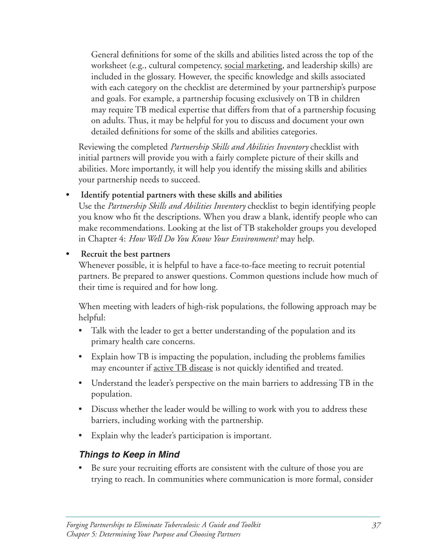General definitions for some of the skills and abilities listed across the top of the worksheet (e.g., cultural competency, social marketing, and leadership skills) are included in the glossary. However, the specific knowledge and skills associated with each category on the checklist are determined by your partnership's purpose and goals. For example, a partnership focusing exclusively on TB in children may require TB medical expertise that differs from that of a partnership focusing on adults. Thus, it may be helpful for you to discuss and document your own detailed definitions for some of the skills and abilities categories.

Reviewing the completed *Partnership Skills and Abilities Inventory* checklist with initial partners will provide you with a fairly complete picture of their skills and abilities. More importantly, it will help you identify the missing skills and abilities your partnership needs to succeed.

#### **• Identify potential partners with these skills and abilities**

Use the *Partnership Skills and Abilities Inventory* checklist to begin identifying people you know who fit the descriptions. When you draw a blank, identify people who can make recommendations. Looking at the list of TB stakeholder groups you developed in Chapter 4: *How Well Do You Know Your Environment?* may help.

#### **• Recruit the best partners**

Whenever possible, it is helpful to have a face-to-face meeting to recruit potential partners. Be prepared to answer questions. Common questions include how much of their time is required and for how long.

When meeting with leaders of high-risk populations, the following approach may be helpful:

- Talk with the leader to get a better understanding of the population and its primary health care concerns.
- Explain how TB is impacting the population, including the problems families may encounter if active TB disease is not quickly identified and treated.
- Understand the leader's perspective on the main barriers to addressing TB in the population.
- Discuss whether the leader would be willing to work with you to address these barriers, including working with the partnership.
- Explain why the leader's participation is important.

#### *Things to Keep in Mind*

Be sure your recruiting efforts are consistent with the culture of those you are trying to reach. In communities where communication is more formal, consider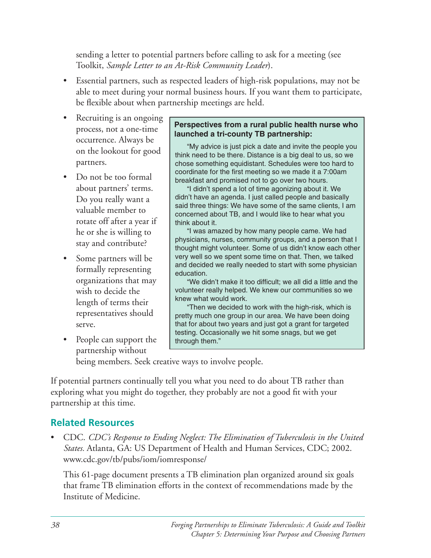sending a letter to potential partners before calling to ask for a meeting (see Toolkit, *Sample Letter to an At-Risk Community Leader*).

- Essential partners, such as respected leaders of high-risk populations, may not be able to meet during your normal business hours. If you want them to participate, be flexible about when partnership meetings are held.
- Recruiting is an ongoing<br>process, not a one-time<br>occurrence. Always be<br>on the lookout for good<br>partners.<br>provide think need to be there. Distance is a big deal to us, so we<br>partners.
- rotate off after a year if  $\parallel$  think about it.
- 
- People can support the  $\parallel$  through them." partnership without

chose something equidistant. Schedules were too hard to Do not be too formal breakfast and promised not to go over two hours.<br>about partners' terms. "I didn't spend a lot of time agonizing about it. We

"I didn't spend a lot of time agonizing about it. We Do you really want a  $\Box$  didn't have an agenda. I just called people and basically said three things: We have some of the same clients, I am valuable member to concerned about TB, and I would like to hear what you

he or she is willing to  $\begin{array}{c} \text{``I was amazed by how many people came. We had} \\ \text{physicians, nurses, community groups, and person that I} \end{array}$ stay and contribute?<br>thought might volunteer. Some of us didn't know each other • Some partners will be very well so we spent some time on that. Then, we talked<br>formally representing education.<br>organizations that may we didn't make it too difficult; we all did a little and the

"We didn't make it too difficult; we all did a little and the wish to decide the volunteer really helped. We knew our communities so we knew  $\frac{1}{2}$  knew what would work.

length of terms their<br>
"Then we decided to work with the high-risk, which is<br>
pretty much one group in our area. We have been doing serve. that for about two years and just got a grant for targeted testing. Occasionally we hit some snags, but we get

being members. Seek creative ways to involve people.

If potential partners continually tell you what you need to do about TB rather than exploring what you might do together, they probably are not a good fit with your partnership at this time.

### **Related Resources**

CDC. *CDC's Response to Ending Neglect: The Elimination of Tuberculosis in the United States.* Atlanta, GA: US Department of Health and Human Services, CDC; 2002. www.cdc.gov/tb/pubs/iom/iomresponse/

This 61-page document presents a TB elimination plan organized around six goals that frame TB elimination efforts in the context of recommendations made by the Institute of Medicine.